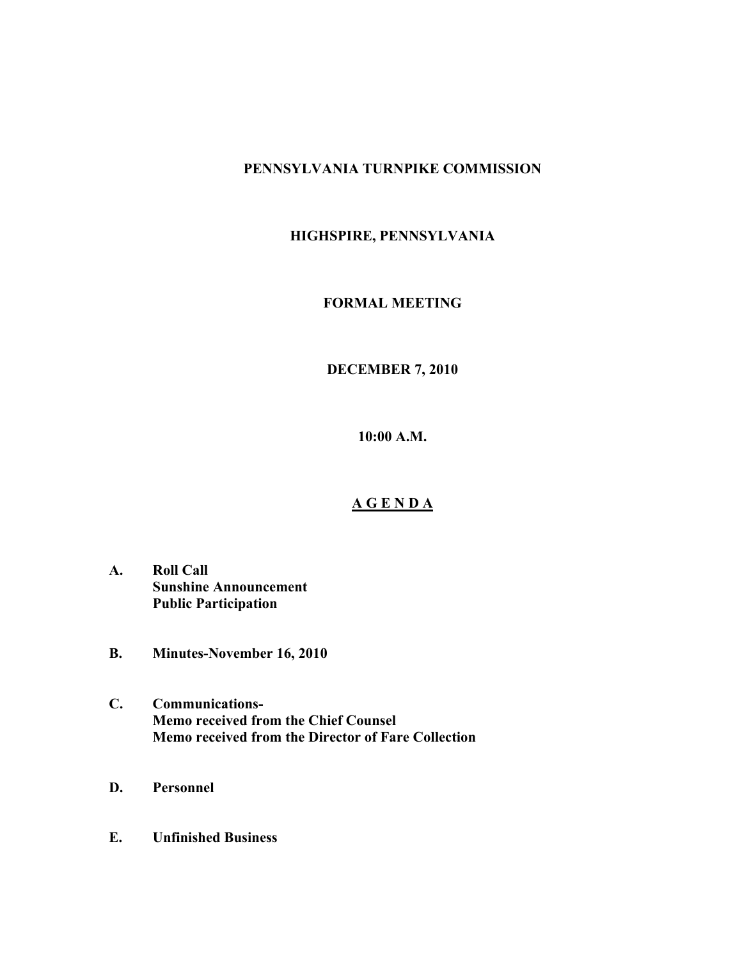## **PENNSYLVANIA TURNPIKE COMMISSION**

# **HIGHSPIRE, PENNSYLVANIA**

## **FORMAL MEETING**

## **DECEMBER 7, 2010**

**10:00 A.M.**

#### **A G E N D A**

- **A. Roll Call Sunshine Announcement Public Participation**
- **B. Minutes-November 16, 2010**
- **C. Communications-Memo received from the Chief Counsel Memo received from the Director of Fare Collection**
- **D. Personnel**
- **E. Unfinished Business**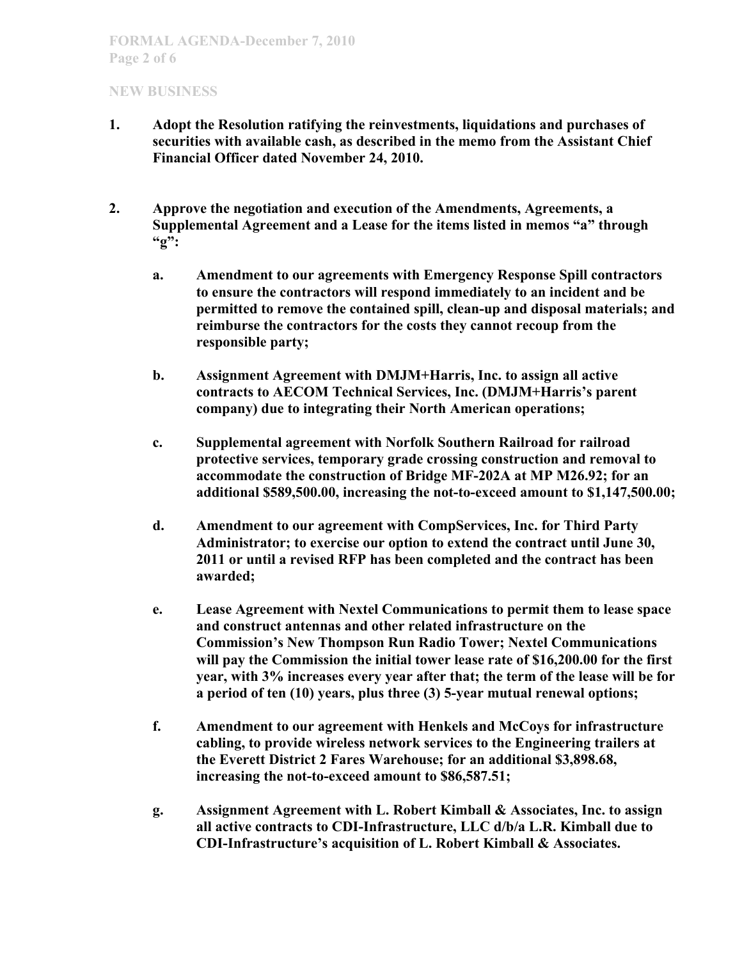- **1. Adopt the Resolution ratifying the reinvestments, liquidations and purchases of securities with available cash, as described in the memo from the Assistant Chief Financial Officer dated November 24, 2010.**
- **2. Approve the negotiation and execution of the Amendments, Agreements, a Supplemental Agreement and a Lease for the items listed in memos "a" through "g":**
	- **a. Amendment to our agreements with Emergency Response Spill contractors to ensure the contractors will respond immediately to an incident and be permitted to remove the contained spill, clean-up and disposal materials; and reimburse the contractors for the costs they cannot recoup from the responsible party;**
	- **b. Assignment Agreement with DMJM+Harris, Inc. to assign all active contracts to AECOM Technical Services, Inc. (DMJM+Harris's parent company) due to integrating their North American operations;**
	- **c. Supplemental agreement with Norfolk Southern Railroad for railroad protective services, temporary grade crossing construction and removal to accommodate the construction of Bridge MF-202A at MP M26.92; for an additional \$589,500.00, increasing the not-to-exceed amount to \$1,147,500.00;**
	- **d. Amendment to our agreement with CompServices, Inc. for Third Party Administrator; to exercise our option to extend the contract until June 30, 2011 or until a revised RFP has been completed and the contract has been awarded;**
	- **e. Lease Agreement with Nextel Communications to permit them to lease space and construct antennas and other related infrastructure on the Commission's New Thompson Run Radio Tower; Nextel Communications will pay the Commission the initial tower lease rate of \$16,200.00 for the first year, with 3% increases every year after that; the term of the lease will be for a period of ten (10) years, plus three (3) 5-year mutual renewal options;**
	- **f. Amendment to our agreement with Henkels and McCoys for infrastructure cabling, to provide wireless network services to the Engineering trailers at the Everett District 2 Fares Warehouse; for an additional \$3,898.68, increasing the not-to-exceed amount to \$86,587.51;**
	- **g. Assignment Agreement with L. Robert Kimball & Associates, Inc. to assign all active contracts to CDI-Infrastructure, LLC d/b/a L.R. Kimball due to CDI-Infrastructure's acquisition of L. Robert Kimball & Associates.**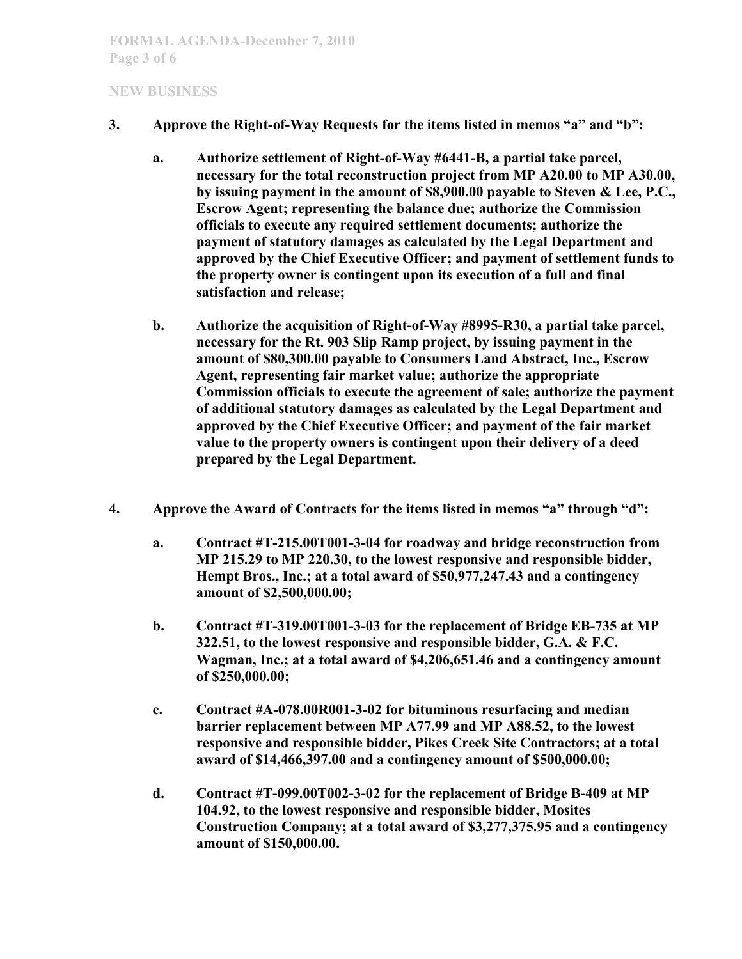- **3. Approve the Right-of-Way Requests for the items listed in memos "a" and "b":**
	- **a. Authorize settlement of Right-of-Way #6441-B, a partial take parcel, necessary for the total reconstruction project from MP A20.00 to MP A30.00, by issuing payment in the amount of \$8,900.00 payable to Steven & Lee, P.C., Escrow Agent; representing the balance due; authorize the Commission officials to execute any required settlement documents; authorize the payment of statutory damages as calculated by the Legal Department and approved by the Chief Executive Officer; and payment of settlement funds to the property owner is contingent upon its execution of a full and final satisfaction and release;**
	- **b. Authorize the acquisition of Right-of-Way #8995-R30, a partial take parcel, necessary for the Rt. 903 Slip Ramp project, by issuing payment in the amount of \$80,300.00 payable to Consumers Land Abstract, Inc., Escrow Agent, representing fair market value; authorize the appropriate Commission officials to execute the agreement of sale; authorize the payment of additional statutory damages as calculated by the Legal Department and approved by the Chief Executive Officer; and payment of the fair market value to the property owners is contingent upon their delivery of a deed prepared by the Legal Department.**
- **4. Approve the Award of Contracts for the items listed in memos "a" through "d":**
	- **a. Contract #T-215.00T001-3-04 for roadway and bridge reconstruction from MP 215.29 to MP 220.30, to the lowest responsive and responsible bidder, Hempt Bros., Inc.; at a total award of \$50,977,247.43 and a contingency amount of \$2,500,000.00;**
	- **b. Contract #T-319.00T001-3-03 for the replacement of Bridge EB-735 at MP 322.51, to the lowest responsive and responsible bidder, G.A. & F.C. Wagman, Inc.; at a total award of \$4,206,651.46 and a contingency amount of \$250,000.00;**
	- **c. Contract #A-078.00R001-3-02 for bituminous resurfacing and median barrier replacement between MP A77.99 and MP A88.52, to the lowest responsive and responsible bidder, Pikes Creek Site Contractors; at a total award of \$14,466,397.00 and a contingency amount of \$500,000.00;**
	- **d. Contract #T-099.00T002-3-02 for the replacement of Bridge B-409 at MP 104.92, to the lowest responsive and responsible bidder, Mosites Construction Company; at a total award of \$3,277,375.95 and a contingency amount of \$150,000.00.**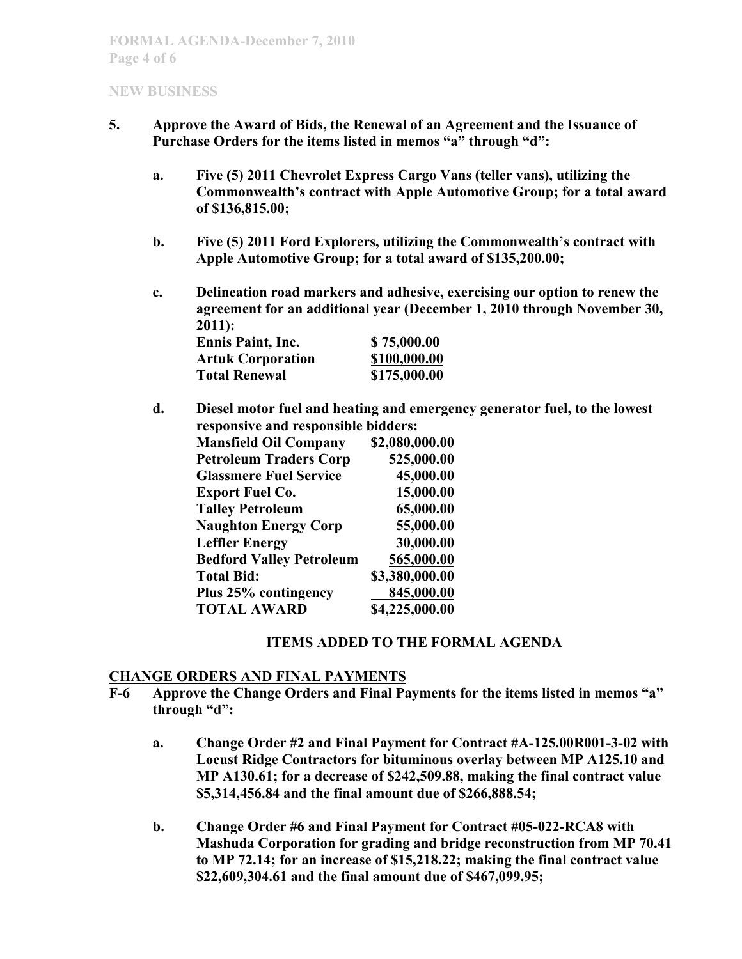- **5. Approve the Award of Bids, the Renewal of an Agreement and the Issuance of Purchase Orders for the items listed in memos "a" through "d":**
	- **a. Five (5) 2011 Chevrolet Express Cargo Vans (teller vans), utilizing the Commonwealth's contract with Apple Automotive Group; for a total award of \$136,815.00;**
	- **b. Five (5) 2011 Ford Explorers, utilizing the Commonwealth's contract with Apple Automotive Group; for a total award of \$135,200.00;**
	- **c. Delineation road markers and adhesive, exercising our option to renew the agreement for an additional year (December 1, 2010 through November 30, 2011):**

| <b>Ennis Paint, Inc.</b> | \$75,000.00  |
|--------------------------|--------------|
| <b>Artuk Corporation</b> | \$100,000.00 |
| <b>Total Renewal</b>     | \$175,000.00 |

**d. Diesel motor fuel and heating and emergency generator fuel, to the lowest responsive and responsible bidders:**

| response ve and responsible     |                |
|---------------------------------|----------------|
| <b>Mansfield Oil Company</b>    | \$2,080,000.00 |
| <b>Petroleum Traders Corp</b>   | 525,000.00     |
| <b>Glassmere Fuel Service</b>   | 45,000.00      |
| <b>Export Fuel Co.</b>          | 15,000.00      |
| <b>Talley Petroleum</b>         | 65,000.00      |
| <b>Naughton Energy Corp</b>     | 55,000.00      |
| <b>Leffler Energy</b>           | 30,000.00      |
| <b>Bedford Valley Petroleum</b> | 565,000.00     |
| <b>Total Bid:</b>               | \$3,380,000.00 |
| Plus 25% contingency            | 845,000.00     |
| <b>TOTAL AWARD</b>              | \$4,225,000.00 |
|                                 |                |

## **ITEMS ADDED TO THE FORMAL AGENDA**

#### **CHANGE ORDERS AND FINAL PAYMENTS**

- **F-6 Approve the Change Orders and Final Payments for the items listed in memos "a" through "d":**
	- **a. Change Order #2 and Final Payment for Contract #A-125.00R001-3-02 with Locust Ridge Contractors for bituminous overlay between MP A125.10 and MP A130.61; for a decrease of \$242,509.88, making the final contract value \$5,314,456.84 and the final amount due of \$266,888.54;**
	- **b. Change Order #6 and Final Payment for Contract #05-022-RCA8 with Mashuda Corporation for grading and bridge reconstruction from MP 70.41 to MP 72.14; for an increase of \$15,218.22; making the final contract value \$22,609,304.61 and the final amount due of \$467,099.95;**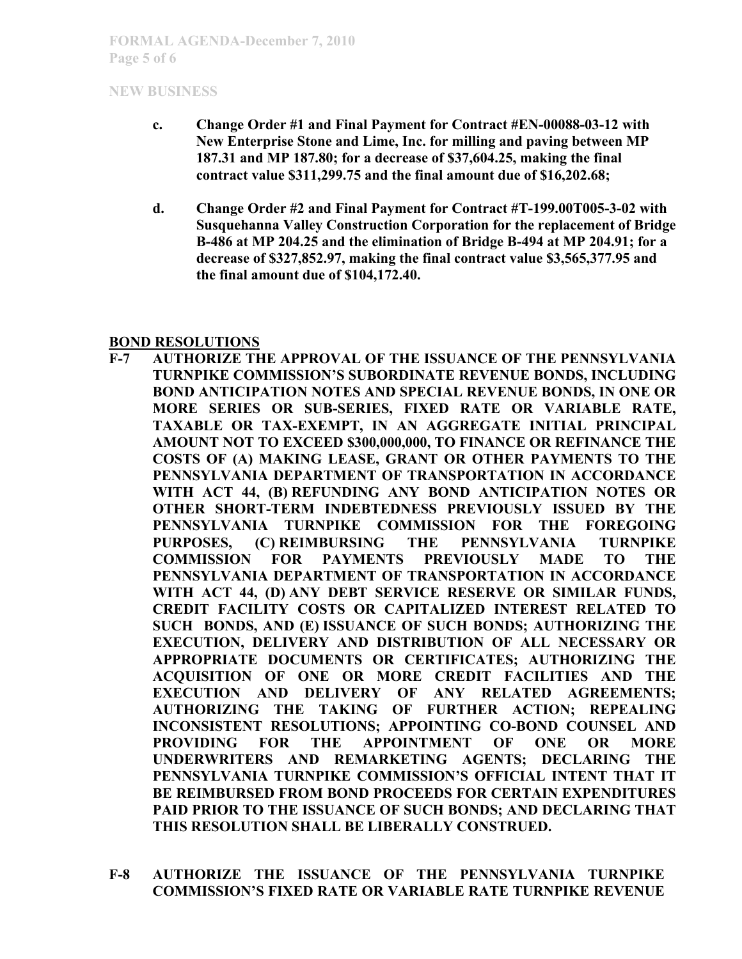- **c. Change Order #1 and Final Payment for Contract #EN-00088-03-12 with New Enterprise Stone and Lime, Inc. for milling and paving between MP 187.31 and MP 187.80; for a decrease of \$37,604.25, making the final contract value \$311,299.75 and the final amount due of \$16,202.68;**
- **d. Change Order #2 and Final Payment for Contract #T-199.00T005-3-02 with Susquehanna Valley Construction Corporation for the replacement of Bridge B-486 at MP 204.25 and the elimination of Bridge B-494 at MP 204.91; for a decrease of \$327,852.97, making the final contract value \$3,565,377.95 and the final amount due of \$104,172.40.**

#### **BOND RESOLUTIONS**

- **F-7 AUTHORIZE THE APPROVAL OF THE ISSUANCE OF THE PENNSYLVANIA TURNPIKE COMMISSION'S SUBORDINATE REVENUE BONDS, INCLUDING BOND ANTICIPATION NOTES AND SPECIAL REVENUE BONDS, IN ONE OR MORE SERIES OR SUB-SERIES, FIXED RATE OR VARIABLE RATE, TAXABLE OR TAX-EXEMPT, IN AN AGGREGATE INITIAL PRINCIPAL AMOUNT NOT TO EXCEED \$300,000,000, TO FINANCE OR REFINANCE THE COSTS OF (A) MAKING LEASE, GRANT OR OTHER PAYMENTS TO THE PENNSYLVANIA DEPARTMENT OF TRANSPORTATION IN ACCORDANCE WITH ACT 44, (B) REFUNDING ANY BOND ANTICIPATION NOTES OR OTHER SHORT-TERM INDEBTEDNESS PREVIOUSLY ISSUED BY THE PENNSYLVANIA TURNPIKE COMMISSION FOR THE FOREGOING PURPOSES, (C) REIMBURSING THE PENNSYLVANIA TURNPIKE COMMISSION FOR PAYMENTS PREVIOUSLY MADE TO THE PENNSYLVANIA DEPARTMENT OF TRANSPORTATION IN ACCORDANCE WITH ACT 44, (D) ANY DEBT SERVICE RESERVE OR SIMILAR FUNDS, CREDIT FACILITY COSTS OR CAPITALIZED INTEREST RELATED TO SUCH BONDS, AND (E) ISSUANCE OF SUCH BONDS; AUTHORIZING THE EXECUTION, DELIVERY AND DISTRIBUTION OF ALL NECESSARY OR APPROPRIATE DOCUMENTS OR CERTIFICATES; AUTHORIZING THE ACQUISITION OF ONE OR MORE CREDIT FACILITIES AND THE EXECUTION AND DELIVERY OF ANY RELATED AGREEMENTS; AUTHORIZING THE TAKING OF FURTHER ACTION; REPEALING INCONSISTENT RESOLUTIONS; APPOINTING CO-BOND COUNSEL AND PROVIDING FOR THE APPOINTMENT OF ONE OR MORE UNDERWRITERS AND REMARKETING AGENTS; DECLARING THE PENNSYLVANIA TURNPIKE COMMISSION'S OFFICIAL INTENT THAT IT BE REIMBURSED FROM BOND PROCEEDS FOR CERTAIN EXPENDITURES PAID PRIOR TO THE ISSUANCE OF SUCH BONDS; AND DECLARING THAT THIS RESOLUTION SHALL BE LIBERALLY CONSTRUED.**
- **F-8 AUTHORIZE THE ISSUANCE OF THE PENNSYLVANIA TURNPIKE COMMISSION'S FIXED RATE OR VARIABLE RATE TURNPIKE REVENUE**